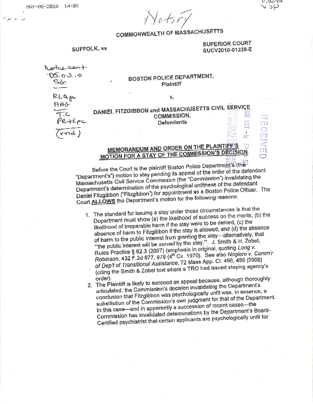*v\Jc;-/219* 

## **COMMONWEAL** TH **OF MASSACHUSETTS**

#### SUFFOLK, ss

#### **SUPERIOR COURT SUCV2010-01238-E**

 $\mathbf{C}^n$ 

P.02/04  $4c$   $\vee$ 

 $\frac{1}{\sqrt{11}}$ 

| Nothe Sent<br>105,03.10<br>$S_{0}G$ | <b>BOSTON POLICE DEPARTMENT,</b><br>Plaintiff                                                                                 |                                     |
|-------------------------------------|-------------------------------------------------------------------------------------------------------------------------------|-------------------------------------|
| RLQ pr                              | 47.<br>۷.                                                                                                                     |                                     |
| $\frac{1}{\sqrt{2}}$                | DANIEL FITZGIBBON and MASSACHUSETTS CIVIL SERVICE<br><b>COMMISSION,</b><br><b>Company</b><br><b>Defendants</b><br><b>City</b> | <b><i><u><b>Hornowy</b></u></i></b> |
|                                     |                                                                                                                               |                                     |

# BOSTON POLICE DEPARTMENT,

### **MEMORANDUM AND ORDER ON** THE **PLAINTIFF'r;\$** -0 **MOTION FOR A STAY OF THE COMMISSION'S DECISION**

Before the Court is the plaintiff Boston Police Department's' (the Before the Court is the plaintiff Boston Police Department's") motion to stay pending its appeal of the order of the defendant Massachusetts Civil Service Commission (the "Commission") invalidating the Department's determination of the psychological unfitness of the defendant Daniel Fitzgibbon ("Fitzgibbon") for appointment as a Boston Police Officer. The Court **ALLOWS** the Department's motion for the following reasons:

- 1. The standard for issuing a stay under these circumstances is that the Department must show (a) the likelihood of success on the merits, (b) the likelihood of irreparable harm if the stay were to be denied, (c) the absence of harm to Fitzgibbon if the stay is allowed. and (d) the absence absence of name to the public interest from granting the stay—alternatively, that of harm to the public interest from granting the stay—alternatively, that "the public interest will be served by the stay."". J. Smith & H. Zobel, Rules Practice § 62.3 (2007) (emphasis in original, quoting Long v. Rules Practice § 62.3 (2007) (emphasic 1970). See also Nogiero v. Comm'r<br>Robinson, 432 F.2d 977, 979 (4<sup>th</sup> Cir. 1970). See also Nogiero v. Comm'r of Dep't of Transitional Assistance, 72 Mass App. Ct. 496, 499 (2008) (citing the Smith & Zobel text where a TRO had issued staying agency's
	- order). 2. The Plaintiff is likely to succeed on appeal because, although thoroughly articulated, the Commission's decision invalidating the Department's conclusion that Fitzgibbon was psychologically unfit was, in essence, <sup>a</sup> substitution of the Commission's own judgment for that of the Department. In this case-and in apparently a succession of recent cases- the Commission has invalidated determinations by the Department's Board-Certified psychiatrist that certairi applicants are psychologically unfit for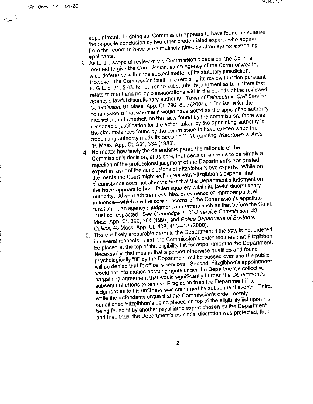appointment. In doing so. Commission appears to have found persuasive the opposite conclusion by two other credentialed experts who appear from the record to have been routinely hired by attorneys for appealing

- applicants. 3. As to the scope of review of the Commission·s decision, the Court is required to give the Commission, as an agency of the Commonwealth. wide deference within the subject matter of its statutory jurisdiction. However, the Commission itself, in exercising its review function pursuant to G.L. c. 31, § 43, is not free to substitute its judgment as to matters that relate to merit and policy considerations within the bounds of the reviewed agency's lawful discretionary authority. Town of Falmouth v. Civil Service Commission, 61 Mass. App. Ct. 796, <sup>800</sup>(2004). "The issue for the commission is 'not whether it would have acted as the appointing authority had acted. but whether. on the facts found by the commission, there was reasonable justification for the action taken by the appointing authority in the circumstances found by the commission to have existed when the appointing authority made its decision." Id. (quoting Watertown v. Arria, <sup>16</sup>Mass. App. Ct. 331, 334 (1983).
- **4. No** matter how finely the defendants parse the rationale of the Commission's decision, at its core, that decision appears to be simply a rejection of the professional judgment of the Department's designated expert in favor of the conclusions of Fitzgibbon's two experts. While on the merits the Court might well agree with Fitzgibbon·s experts, that circumstance does not alter the fact that the Department's judgment on the issue appears to have fallen squarely within its lawful discretionary authority. Absent arbitrariness, bias or evidence of improper political influence-which are the core concerns of the Commission's appellate function-, an agency's judgment on matters such as that before the Court must be respected. See Cambridge v. Civil Service Commission, 43 Mass. App. Ct. 300, 304 (1997) and Police Department of Boston v. Collins, 48 Mass. App. Ct. 408, 411-413 (2000).
- 5. There is likely irreparable harm to the Department if the stay is not ordered in several respects. First, the Commission's order requires that Fitzgibbon be placed at the top of the eligibility list for appointment to the Department. Necessarily, that means that a person otherwise qualified and found psychologically "fit" by the Department will be passed over and the public will be denied that fit officer's services. Second, Fitzgibbon's appointment would set into motion accruing rights under the Department's collective bargaining agreement that would significantly burden the Department's subsequent efforts to remove Fitzgibbon from the Department if its judgment as to his unfitness was confirmed by subsequent events. Third, while the defendants argue that the Commission's order merely conditioned Fitzgibbon's being placed on top of the eligibility list upon his being found fit by another psychiatric expert chosen by the Department and that, thus, the Department's essential discretion was protected, that